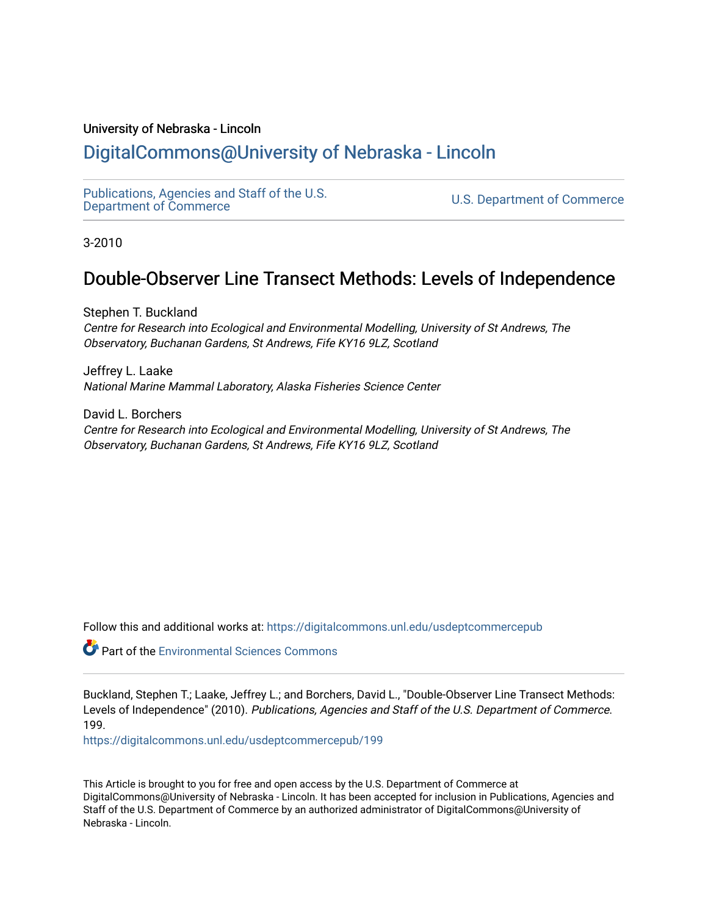### University of Nebraska - Lincoln

# [DigitalCommons@University of Nebraska - Lincoln](https://digitalcommons.unl.edu/)

[Publications, Agencies and Staff of the U.S.](https://digitalcommons.unl.edu/usdeptcommercepub)

U.S. [Department of Commerce](https://digitalcommons.unl.edu/usdeptcommercepub)

3-2010

## Double-Observer Line Transect Methods: Levels of Independence

Stephen T. Buckland Centre for Research into Ecological and Environmental Modelling, University of St Andrews, The Observatory, Buchanan Gardens, St Andrews, Fife KY16 9LZ, Scotland

Jeffrey L. Laake National Marine Mammal Laboratory, Alaska Fisheries Science Center

David L. Borchers Centre for Research into Ecological and Environmental Modelling, University of St Andrews, The Observatory, Buchanan Gardens, St Andrews, Fife KY16 9LZ, Scotland

Follow this and additional works at: [https://digitalcommons.unl.edu/usdeptcommercepub](https://digitalcommons.unl.edu/usdeptcommercepub?utm_source=digitalcommons.unl.edu%2Fusdeptcommercepub%2F199&utm_medium=PDF&utm_campaign=PDFCoverPages)

Part of the [Environmental Sciences Commons](http://network.bepress.com/hgg/discipline/167?utm_source=digitalcommons.unl.edu%2Fusdeptcommercepub%2F199&utm_medium=PDF&utm_campaign=PDFCoverPages)

Buckland, Stephen T.; Laake, Jeffrey L.; and Borchers, David L., "Double-Observer Line Transect Methods: Levels of Independence" (2010). Publications, Agencies and Staff of the U.S. Department of Commerce. 199.

[https://digitalcommons.unl.edu/usdeptcommercepub/199](https://digitalcommons.unl.edu/usdeptcommercepub/199?utm_source=digitalcommons.unl.edu%2Fusdeptcommercepub%2F199&utm_medium=PDF&utm_campaign=PDFCoverPages) 

This Article is brought to you for free and open access by the U.S. Department of Commerce at DigitalCommons@University of Nebraska - Lincoln. It has been accepted for inclusion in Publications, Agencies and Staff of the U.S. Department of Commerce by an authorized administrator of DigitalCommons@University of Nebraska - Lincoln.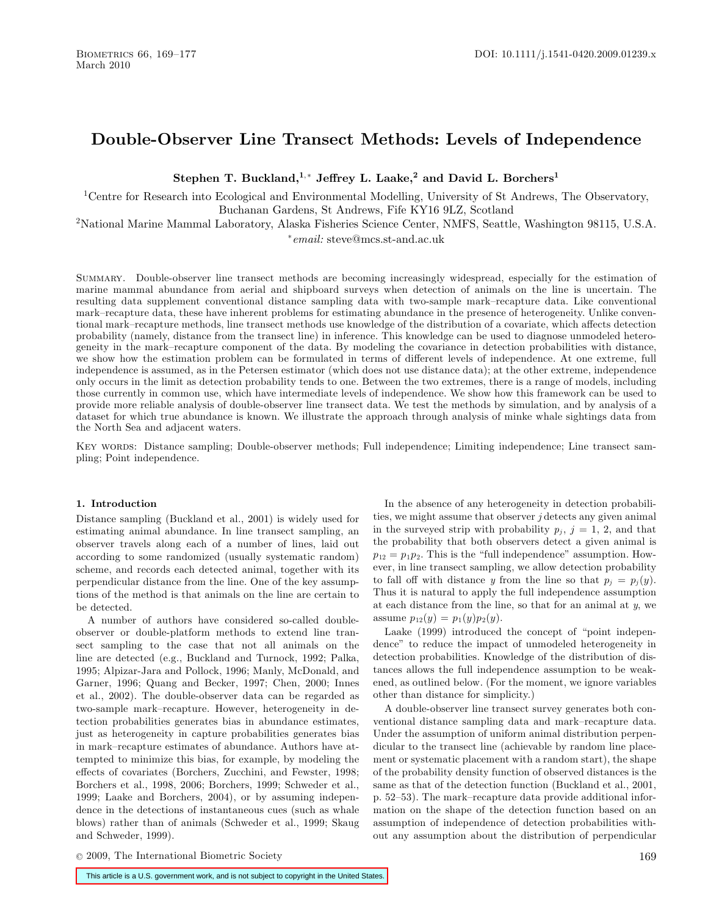### **Double-Observer Line Transect Methods: Levels of Independence**

**Stephen T. Buckland,**<sup>1,\*</sup> Jeffrey L. Laake,<sup>2</sup> and David L. Borchers<sup>1</sup>

1Centre for Research into Ecological and Environmental Modelling, University of St Andrews, The Observatory, Buchanan Gardens, St Andrews, Fife KY16 9LZ, Scotland

2National Marine Mammal Laboratory, Alaska Fisheries Science Center, NMFS, Seattle, Washington 98115, U.S.A. <sup>∗</sup>email: steve@mcs.st-and.ac.uk

Summary. Double-observer line transect methods are becoming increasingly widespread, especially for the estimation of marine mammal abundance from aerial and shipboard surveys when detection of animals on the line is uncertain. The resulting data supplement conventional distance sampling data with two-sample mark–recapture data. Like conventional mark–recapture data, these have inherent problems for estimating abundance in the presence of heterogeneity. Unlike conventional mark–recapture methods, line transect methods use knowledge of the distribution of a covariate, which affects detection probability (namely, distance from the transect line) in inference. This knowledge can be used to diagnose unmodeled heterogeneity in the mark–recapture component of the data. By modeling the covariance in detection probabilities with distance, we show how the estimation problem can be formulated in terms of different levels of independence. At one extreme, full independence is assumed, as in the Petersen estimator (which does not use distance data); at the other extreme, independence only occurs in the limit as detection probability tends to one. Between the two extremes, there is a range of models, including those currently in common use, which have intermediate levels of independence. We show how this framework can be used to provide more reliable analysis of double-observer line transect data. We test the methods by simulation, and by analysis of a dataset for which true abundance is known. We illustrate the approach through analysis of minke whale sightings data from the North Sea and adjacent waters.

KEY WORDS: Distance sampling; Double-observer methods; Full independence; Limiting independence; Line transect sampling; Point independence.

#### **1. Introduction**

Distance sampling (Buckland et al., 2001) is widely used for estimating animal abundance. In line transect sampling, an observer travels along each of a number of lines, laid out according to some randomized (usually systematic random) scheme, and records each detected animal, together with its perpendicular distance from the line. One of the key assumptions of the method is that animals on the line are certain to be detected.

A number of authors have considered so-called doubleobserver or double-platform methods to extend line transect sampling to the case that not all animals on the line are detected (e.g., Buckland and Turnock, 1992; Palka, 1995; Alpizar-Jara and Pollock, 1996; Manly, McDonald, and Garner, 1996; Quang and Becker, 1997; Chen, 2000; Innes et al., 2002). The double-observer data can be regarded as two-sample mark–recapture. However, heterogeneity in detection probabilities generates bias in abundance estimates, just as heterogeneity in capture probabilities generates bias in mark–recapture estimates of abundance. Authors have attempted to minimize this bias, for example, by modeling the effects of covariates (Borchers, Zucchini, and Fewster, 1998; Borchers et al., 1998, 2006; Borchers, 1999; Schweder et al., 1999; Laake and Borchers, 2004), or by assuming independence in the detections of instantaneous cues (such as whale blows) rather than of animals (Schweder et al., 1999; Skaug and Schweder, 1999).

In the absence of any heterogeneity in detection probabilities, we might assume that observer  $j$  detects any given animal in the surveyed strip with probability  $p_j$ ,  $j = 1, 2$ , and that the probability that both observers detect a given animal is  $p_{12} = p_1 p_2$ . This is the "full independence" assumption. However, in line transect sampling, we allow detection probability to fall off with distance y from the line so that  $p_i = p_i(y)$ . Thus it is natural to apply the full independence assumption at each distance from the line, so that for an animal at  $y$ , we assume  $p_{12}(y) = p_1(y)p_2(y)$ .

Laake (1999) introduced the concept of "point independence" to reduce the impact of unmodeled heterogeneity in detection probabilities. Knowledge of the distribution of distances allows the full independence assumption to be weakened, as outlined below. (For the moment, we ignore variables other than distance for simplicity.)

A double-observer line transect survey generates both conventional distance sampling data and mark–recapture data. Under the assumption of uniform animal distribution perpendicular to the transect line (achievable by random line placement or systematic placement with a random start), the shape of the probability density function of observed distances is the same as that of the detection function (Buckland et al., 2001, p. 52–53). The mark–recapture data provide additional information on the shape of the detection function based on an assumption of independence of detection probabilities without any assumption about the distribution of perpendicular

<sup>C</sup> 2009, The International Biometric Society 169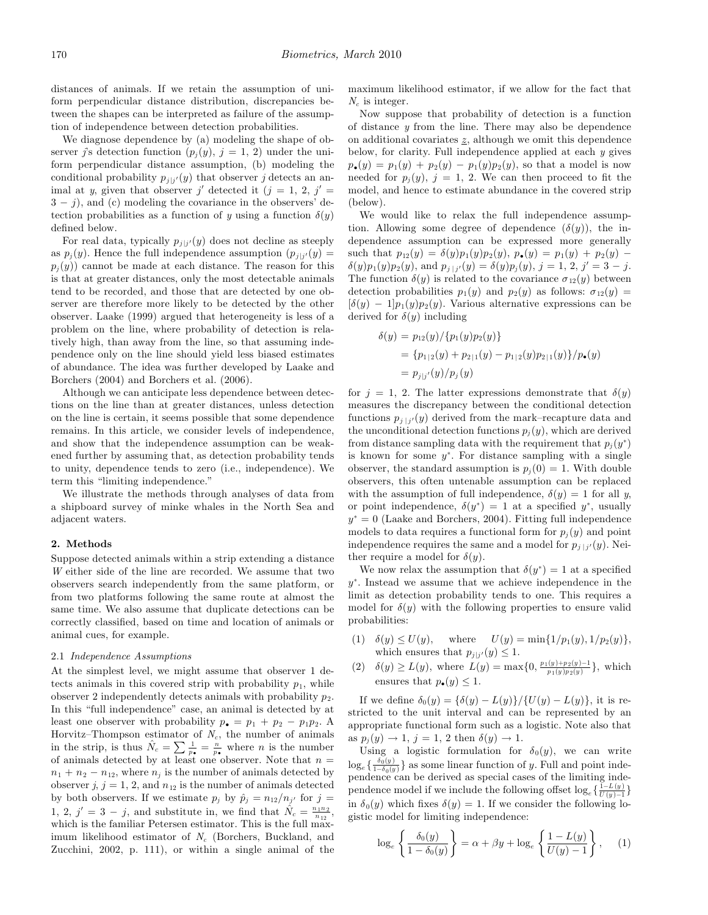distances of animals. If we retain the assumption of uniform perpendicular distance distribution, discrepancies between the shapes can be interpreted as failure of the assumption of independence between detection probabilities.

We diagnose dependence by (a) modeling the shape of observer j's detection function  $(p_i(y), j = 1, 2)$  under the uniform perpendicular distance assumption, (b) modeling the conditional probability  $p_{j|j'}(y)$  that observer j detects an animal at y, given that observer j' detected it  $(j = 1, 2, j' =$  $3 - j$ , and (c) modeling the covariance in the observers' detection probabilities as a function of y using a function  $\delta(y)$ defined below.

For real data, typically  $p_{j|j'}(y)$  does not decline as steeply as  $p_i(y)$ . Hence the full independence assumption  $(p_{i}|j' (y)) =$  $p_i(y)$  cannot be made at each distance. The reason for this is that at greater distances, only the most detectable animals tend to be recorded, and those that are detected by one observer are therefore more likely to be detected by the other observer. Laake (1999) argued that heterogeneity is less of a problem on the line, where probability of detection is relatively high, than away from the line, so that assuming independence only on the line should yield less biased estimates of abundance. The idea was further developed by Laake and Borchers (2004) and Borchers et al. (2006).

Although we can anticipate less dependence between detections on the line than at greater distances, unless detection on the line is certain, it seems possible that some dependence remains. In this article, we consider levels of independence, and show that the independence assumption can be weakened further by assuming that, as detection probability tends to unity, dependence tends to zero (i.e., independence). We term this "limiting independence."

We illustrate the methods through analyses of data from a shipboard survey of minke whales in the North Sea and adjacent waters.

#### **2. Methods**

Suppose detected animals within a strip extending a distance W either side of the line are recorded. We assume that two observers search independently from the same platform, or from two platforms following the same route at almost the same time. We also assume that duplicate detections can be correctly classified, based on time and location of animals or animal cues, for example.

#### 2.1 Independence Assumptions

At the simplest level, we might assume that observer 1 detects animals in this covered strip with probability  $p_1$ , while observer 2 independently detects animals with probability  $p_2$ . In this "full independence" case, an animal is detected by at least one observer with probability  $p_{\bullet} = p_1 + p_2 - p_1p_2$ . A Horvitz–Thompson estimator of  $N_c$ , the number of animals in the strip, is thus  $\hat{N}_c = \sum_{p_\bullet} \frac{1}{p_\bullet} = \frac{n}{p_\bullet}$  where *n* is the number of animals detected by at least one observer. Note that  $n =$  $n_1 + n_2 - n_{12}$ , where  $n_j$  is the number of animals detected by observer  $j, j = 1, 2$ , and  $n_{12}$  is the number of animals detected by both observers. If we estimate  $p_j$  by  $\hat{p}_j = n_{12}/n_{j'}$  for  $j =$ 1, 2,  $j' = 3 - j$ , and substitute in, we find that  $\hat{N}_c = \frac{n_1 n_2}{n_1 2}$ , which is the familiar Petersen estimator. This is the full maximum likelihood estimator of  $N_c$  (Borchers, Buckland, and Zucchini, 2002, p. 111), or within a single animal of the maximum likelihood estimator, if we allow for the fact that  $N_c$  is integer.

Now suppose that probability of detection is a function of distance y from the line. There may also be dependence on additional covariates  $z$ , although we omit this dependence below, for clarity. Full independence applied at each y gives  $p_{\bullet}(y) = p_1(y) + p_2(y) - p_1(y)p_2(y)$ , so that a model is now needed for  $p_j(y)$ ,  $j = 1$ , 2. We can then proceed to fit the model, and hence to estimate abundance in the covered strip (below).

We would like to relax the full independence assumption. Allowing some degree of dependence  $(\delta(y))$ , the independence assumption can be expressed more generally such that  $p_{12}(y) = \delta(y)p_1(y)p_2(y)$ ,  $p_{\bullet}(y) = p_1(y) + p_2(y)$  $\delta(y)p_1(y)p_2(y)$ , and  $p_{j\,|j'}(y) = \delta(y)p_j(y)$ ,  $j = 1, 2, j' = 3 - j$ . The function  $\delta(y)$  is related to the covariance  $\sigma_{12}(y)$  between detection probabilities  $p_1(y)$  and  $p_2(y)$  as follows:  $\sigma_{12}(y)$  =  $[\delta(y) - 1]p_1(y)p_2(y)$ . Various alternative expressions can be derived for  $\delta(y)$  including

$$
\delta(y) = p_{12}(y) / \{p_1(y)p_2(y)\}
$$
  
=  $\{p_{1|2}(y) + p_{2|1}(y) - p_{1|2}(y)p_{2|1}(y)\}/p_{\bullet}(y)$   
=  $p_{j|j'}(y)/p_j(y)$ 

for  $j = 1, 2$ . The latter expressions demonstrate that  $\delta(y)$ measures the discrepancy between the conditional detection functions  $p_{i|i'}(y)$  derived from the mark–recapture data and the unconditional detection functions  $p_i(y)$ , which are derived from distance sampling data with the requirement that  $p_i(y^*)$ is known for some  $y^*$ . For distance sampling with a single observer, the standard assumption is  $p_i(0) = 1$ . With double observers, this often untenable assumption can be replaced with the assumption of full independence,  $\delta(y) = 1$  for all y, or point independence,  $\delta(y^*) = 1$  at a specified  $y^*$ , usually  $y^* = 0$  (Laake and Borchers, 2004). Fitting full independence models to data requires a functional form for  $p_i(y)$  and point independence requires the same and a model for  $p_{j \, | \, j'}(y)$ . Neither require a model for  $\delta(y)$ .

We now relax the assumption that  $\delta(y^*) = 1$  at a specified y<sup>∗</sup>. Instead we assume that we achieve independence in the limit as detection probability tends to one. This requires a model for  $\delta(y)$  with the following properties to ensure valid probabilities:

- (1)  $\delta(y) \le U(y)$ , where  $U(y) = \min\{1/p_1(y), 1/p_2(y)\},$ which ensures that  $p_{j|j'}(y) \leq 1$ .
- (2)  $\delta(y) \ge L(y)$ , where  $L(y) = \max\{0, \frac{p_1(y) + p_2(y) 1}{p_1(y)p_2(y)}\}$ , which ensures that  $p_{\bullet}(y) \leq 1$ .

If we define  $\delta_0(y) = {\delta(y) - L(y)}/U(y) - L(y)$ , it is restricted to the unit interval and can be represented by an appropriate functional form such as a logistic. Note also that as  $p_i(y) \rightarrow 1$ ,  $j = 1$ , 2 then  $\delta(y) \rightarrow 1$ .

Using a logistic formulation for  $\delta_0(y)$ , we can write  $log_e \left\{ \frac{\delta_0(y)}{1-\delta_0(y)} \right\}$  as some linear function of y. Full and point independence can be derived as special cases of the limiting independence model if we include the following offset  $\log_e \left\{ \frac{1 - L(y)}{U(y) - 1} \right\}$ in  $\delta_0(y)$  which fixes  $\delta(y) = 1$ . If we consider the following logistic model for limiting independence:

$$
\log_e \left\{ \frac{\delta_0(y)}{1 - \delta_0(y)} \right\} = \alpha + \beta y + \log_e \left\{ \frac{1 - L(y)}{U(y) - 1} \right\}, \quad (1)
$$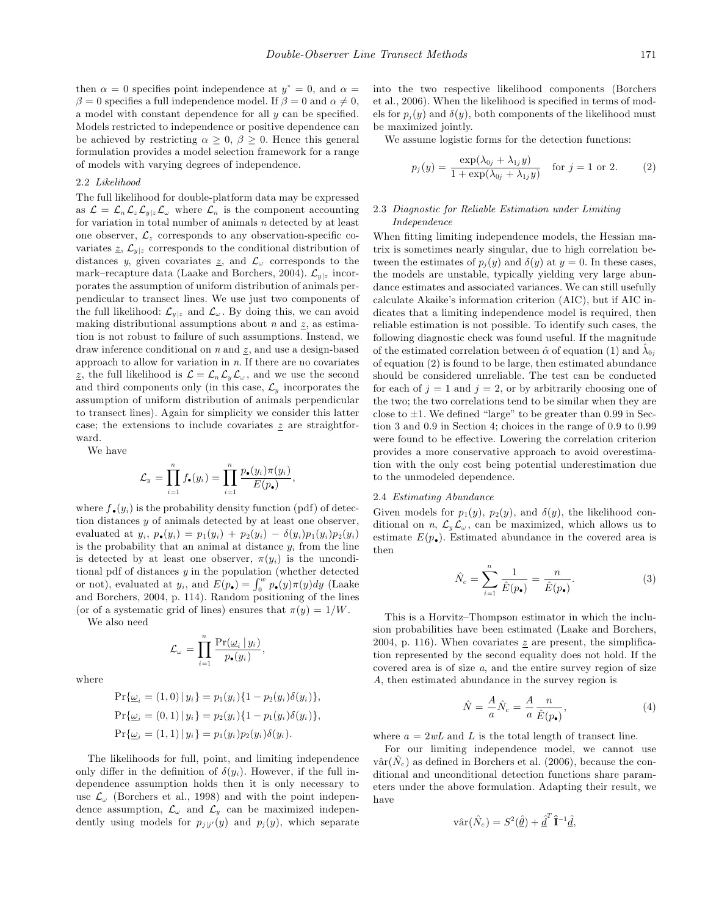then  $\alpha = 0$  specifies point independence at  $y^* = 0$ , and  $\alpha =$  $\beta = 0$  specifies a full independence model. If  $\beta = 0$  and  $\alpha \neq 0$ , a model with constant dependence for all  $y$  can be specified. Models restricted to independence or positive dependence can be achieved by restricting  $\alpha \geq 0$ ,  $\beta \geq 0$ . Hence this general formulation provides a model selection framework for a range of models with varying degrees of independence.

#### 2.2 Likelihood

The full likelihood for double-platform data may be expressed as  $\mathcal{L} = \mathcal{L}_n \mathcal{L}_z \mathcal{L}_{y|z} \mathcal{L}_{\omega}$  where  $\mathcal{L}_n$  is the component accounting for variation in total number of animals  $n$  detected by at least one observer,  $\mathcal{L}_z$  corresponds to any observation-specific covariates  $\underline{z}$ ,  $\mathcal{L}_{y|z}$  corresponds to the conditional distribution of distances y, given covariates  $\underline{z}$ , and  $\mathcal{L}_{\omega}$  corresponds to the mark–recapture data (Laake and Borchers, 2004).  $\mathcal{L}_{y|z}$  incorporates the assumption of uniform distribution of animals perpendicular to transect lines. We use just two components of the full likelihood:  $\mathcal{L}_{y|z}$  and  $\mathcal{L}_{\omega}$ . By doing this, we can avoid making distributional assumptions about  $n$  and  $z$ , as estimation is not robust to failure of such assumptions. Instead, we draw inference conditional on  $n$  and  $z$ , and use a design-based approach to allow for variation in  $n$ . If there are no covariates  $\underline{z}$ , the full likelihood is  $\mathcal{L} = \mathcal{L}_n \mathcal{L}_y \mathcal{L}_\omega$ , and we use the second and third components only (in this case,  $\mathcal{L}_y$  incorporates the assumption of uniform distribution of animals perpendicular to transect lines). Again for simplicity we consider this latter case; the extensions to include covariates  $z$  are straightforward.

We have

$$
\mathcal{L}_y = \prod_{i=1}^n f_{\bullet}(y_i) = \prod_{i=1}^n \frac{p_{\bullet}(y_i)\pi(y_i)}{E(p_{\bullet})},
$$

where  $f_{\bullet}(y_i)$  is the probability density function (pdf) of detection distances y of animals detected by at least one observer, evaluated at  $y_i$ ,  $p_{\bullet}(y_i) = p_1(y_i) + p_2(y_i) - \delta(y_i)p_1(y_i)p_2(y_i)$ is the probability that an animal at distance  $y_i$  from the line is detected by at least one observer,  $\pi(y_i)$  is the unconditional pdf of distances  $y$  in the population (whether detected or not), evaluated at  $y_i$ , and  $E(p_{\bullet}) = \int_0^w p_{\bullet}(y) \pi(y) dy$  (Laake and Borchers, 2004, p. 114). Random positioning of the lines (or of a systematic grid of lines) ensures that  $\pi(y)=1/W$ .

We also need

$$
\mathcal{L}_{\omega} = \prod_{i=1}^n \frac{\Pr(\underline{\omega}_i \, | \, y_i)}{p_{\bullet}(y_i)},
$$

where

$$
\Pr{\underline{\omega}_i = (1,0) | y_i} = p_1(y_i) \{1 - p_2(y_i) \delta(y_i)\},
$$
  
\n
$$
\Pr{\underline{\omega}_i = (0,1) | y_i} = p_2(y_i) \{1 - p_1(y_i) \delta(y_i)\},
$$
  
\n
$$
\Pr{\underline{\omega}_i = (1,1) | y_i} = p_1(y_i) p_2(y_i) \delta(y_i).
$$

The likelihoods for full, point, and limiting independence only differ in the definition of  $\delta(y_i)$ . However, if the full independence assumption holds then it is only necessary to use  $\mathcal{L}_{\omega}$  (Borchers et al., 1998) and with the point independence assumption,  $\mathcal{L}_{\omega}$  and  $\mathcal{L}_{y}$  can be maximized independently using models for  $p_{i|i'}(y)$  and  $p_i(y)$ , which separate

into the two respective likelihood components (Borchers et al., 2006). When the likelihood is specified in terms of models for  $p_i(y)$  and  $\delta(y)$ , both components of the likelihood must be maximized jointly.

We assume logistic forms for the detection functions:

$$
p_j(y) = \frac{\exp(\lambda_{0j} + \lambda_{1j}y)}{1 + \exp(\lambda_{0j} + \lambda_{1j}y)} \quad \text{for } j = 1 \text{ or } 2. \tag{2}
$$

#### 2.3 Diagnostic for Reliable Estimation under Limiting Independence

When fitting limiting independence models, the Hessian matrix is sometimes nearly singular, due to high correlation between the estimates of  $p_i(y)$  and  $\delta(y)$  at  $y = 0$ . In these cases, the models are unstable, typically yielding very large abundance estimates and associated variances. We can still usefully calculate Akaike's information criterion (AIC), but if AIC indicates that a limiting independence model is required, then reliable estimation is not possible. To identify such cases, the following diagnostic check was found useful. If the magnitude of the estimated correlation between  $\hat{\alpha}$  of equation (1) and  $\lambda_{0i}$ of equation (2) is found to be large, then estimated abundance should be considered unreliable. The test can be conducted for each of  $j = 1$  and  $j = 2$ , or by arbitrarily choosing one of the two; the two correlations tend to be similar when they are close to  $\pm 1$ . We defined "large" to be greater than 0.99 in Section 3 and 0.9 in Section 4; choices in the range of 0.9 to 0.99 were found to be effective. Lowering the correlation criterion provides a more conservative approach to avoid overestimation with the only cost being potential underestimation due to the unmodeled dependence.

#### 2.4 Estimating Abundance

Given models for  $p_1(y)$ ,  $p_2(y)$ , and  $\delta(y)$ , the likelihood conditional on n,  $\mathcal{L}_y \mathcal{L}_\omega$ , can be maximized, which allows us to estimate  $E(p_{\bullet})$ . Estimated abundance in the covered area is then

$$
\hat{N}_c = \sum_{i=1}^n \frac{1}{\hat{E}(p_\bullet)} = \frac{n}{\hat{E}(p_\bullet)}.
$$
\n(3)

This is a Horvitz–Thompson estimator in which the inclusion probabilities have been estimated (Laake and Borchers, 2004, p. 116). When covariates  $z$  are present, the simplification represented by the second equality does not hold. If the covered area is of size a, and the entire survey region of size A, then estimated abundance in the survey region is

$$
\hat{N} = \frac{A}{a}\hat{N}_c = \frac{A}{a}\frac{n}{\hat{E}(p_\bullet)},\tag{4}
$$

where  $a = 2wL$  and L is the total length of transect line.

For our limiting independence model, we cannot use  $\hat{\text{var}}(\tilde{N}_c)$  as defined in Borchers et al. (2006), because the conditional and unconditional detection functions share parameters under the above formulation. Adapting their result, we have

$$
\hat{\textrm{var}}(\hat{N}_c) = S^2(\hat{\underline{\theta}}) + \underline{\hat{d}}^T \mathbf{\hat{I}}^{-1} \underline{\hat{d}},
$$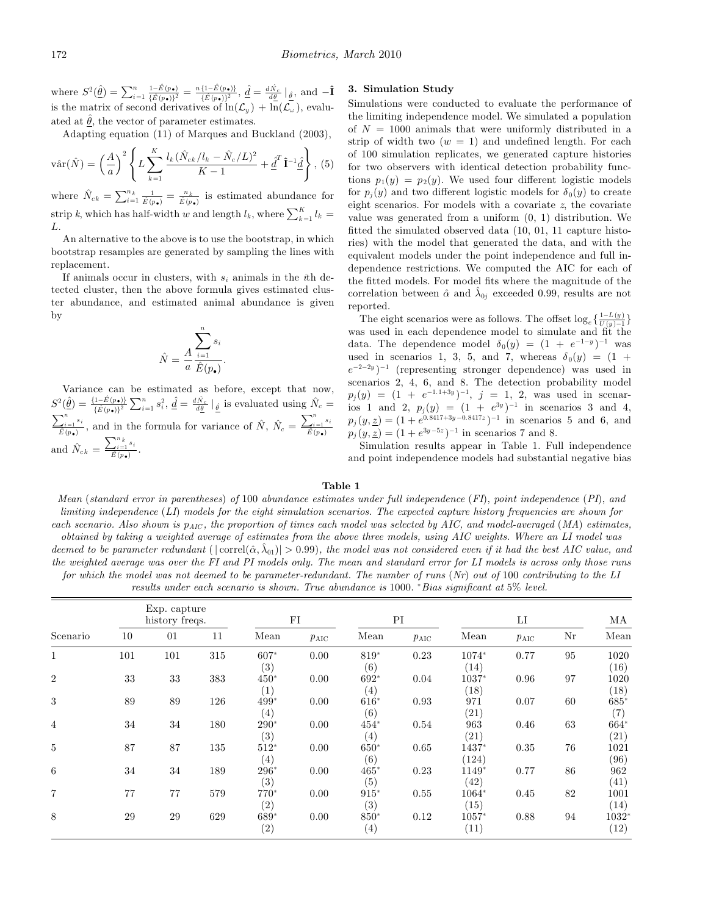where  $S^2(\hat{\underline{\theta}}) = \sum_{i=1}^n \frac{1-\hat{E}(p_{\bullet})}{\{\hat{E}(p_{\bullet})\}^2} = \frac{n\{1-\hat{E}(p_{\bullet})\}}{\{\hat{E}(p_{\bullet})\}^2}, \ \hat{\underline{d}} = \frac{d\hat{N}_c}{d\underline{\theta}} \mid_{\hat{\underline{\theta}}},$  and  $-\hat{\mathbf{I}}$ is the matrix of second derivatives of  $\ln(\mathcal{L}_y) + \ln(\mathcal{L}_\omega)$ , evaluated at  $\theta$ , the vector of parameter estimates.

Adapting equation (11) of Marques and Buckland (2003),

$$
\text{var}(\hat{N}) = \left(\frac{A}{a}\right)^2 \left\{ L \sum_{k=1}^K \frac{l_k (\hat{N}_{ck}/l_k - \hat{N}_c/L)^2}{K - 1} + \underline{\hat{d}}^T \hat{\mathbf{I}}^{-1} \underline{\hat{d}} \right\}, (5)
$$

where  $\hat{N}_{ck} = \sum_{i=1}^{n_k} \frac{1}{\hat{E}(p_{\bullet})} = \frac{n_k}{\hat{E}(p_{\bullet})}$  is estimated abundance for strip k, which has half-width w and length  $l_k$ , where  $\sum_{k=1}^{K} l_k =$ L.

An alternative to the above is to use the bootstrap, in which bootstrap resamples are generated by sampling the lines with replacement.

If animals occur in clusters, with  $s_i$  animals in the ith detected cluster, then the above formula gives estimated cluster abundance, and estimated animal abundance is given by

$$
\hat{N} = \frac{A}{a} \frac{\sum_{i=1}^{n} s_i}{\hat{E}(p_{\bullet})}.
$$

Variance can be estimated as before, except that now,  $S^2(\hat{\underline{\theta}})=\frac{\{1-\hat{E}(p_\bullet)\}}{\{\hat{E}(p_\bullet)\}^2}\sum_{i=1}^ns_i^2, \hat{\underline{d}}=\frac{d\hat{N}_c}{d\underline{\theta}}\mid_{\hat{\underline{\theta}}}$  is evaluated using  $\hat{N}_c=$  $\frac{\sum_{i=1}^{n} s_i}{\hat{E}(p_*)}$ , and in the formula for variance of  $\hat{N}$ ,  $\hat{N}_c = \frac{\sum_{i=1}^{n} s_i}{\hat{E}(p_*)}$ and  $\hat{N}_{ck} = \frac{\sum_{i=1}^{n_k} s_i}{\hat{E}(p_{\bullet})}$ .

#### **3. Simulation Study**

Simulations were conducted to evaluate the performance of the limiting independence model. We simulated a population of  $N = 1000$  animals that were uniformly distributed in a strip of width two  $(w = 1)$  and undefined length. For each of 100 simulation replicates, we generated capture histories for two observers with identical detection probability functions  $p_1(y) = p_2(y)$ . We used four different logistic models for  $p_i(y)$  and two different logistic models for  $\delta_0(y)$  to create eight scenarios. For models with a covariate z, the covariate value was generated from a uniform (0, 1) distribution. We fitted the simulated observed data (10, 01, 11 capture histories) with the model that generated the data, and with the equivalent models under the point independence and full independence restrictions. We computed the AIC for each of the fitted models. For model fits where the magnitude of the correlation between  $\hat{\alpha}$  and  $\lambda_{0j}$  exceeded 0.99, results are not reported.

The eight scenarios were as follows. The offset  $\log_e \left\{ \frac{1 - L(y)}{U(y) - 1} \right\}$ was used in each dependence model to simulate and fit the data. The dependence model  $\delta_0(y) = (1 + e^{-1-y})^{-1}$  was used in scenarios 1, 3, 5, and 7, whereas  $\delta_0(y) = (1 +$  $e^{-2-2y}$ <sup>-1</sup> (representing stronger dependence) was used in scenarios 2, 4, 6, and 8. The detection probability model  $p_j(y) = (1 + e^{-1.1+3y})^{-1}, \ j = 1, 2,$  was used in scenarios 1 and 2,  $p_j(y) = (1 + e^{3y})^{-1}$  in scenarios 3 and 4,  $p_j(y, z) = (1 + e^{0.8417 + 3y - 0.8417z})^{-1}$  in scenarios 5 and 6, and  $p_j(y, z) = (1 + e^{3y-5z})^{-1}$  in scenarios 7 and 8.

Simulation results appear in Table 1. Full independence and point independence models had substantial negative bias

#### **Table 1**

Mean (standard error in parentheses) of 100 abundance estimates under full independence (FI), point independence (PI), and limiting independence (LI) models for the eight simulation scenarios. The expected capture history frequencies are shown for each scenario. Also shown is  $p_{AIC}$ , the proportion of times each model was selected by AIC, and model-averaged (MA) estimates, obtained by taking a weighted average of estimates from the above three models, using AIC weights. Where an LI model was deemed to be parameter redundant  $(|\text{correl}(\hat{\alpha}, \lambda_{01})| > 0.99)$ , the model was not considered even if it had the best AIC value, and the weighted average was over the FI and PI models only. The mean and standard error for LI models is across only those runs for which the model was not deemed to be parameter-redundant. The number of runs (Nr) out of 100 contributing to the LI results under each scenario is shown. True abundance is 1000. <sup>∗</sup>Bias significant at 5% level.

| Scenario       | Exp. capture<br>history freqs. |     |     | FI            |           | PI                          |           | $_{\rm LI}$               |               |    | МA                         |
|----------------|--------------------------------|-----|-----|---------------|-----------|-----------------------------|-----------|---------------------------|---------------|----|----------------------------|
|                | 10                             | 01  | 11  | Mean          | $p_{AIC}$ | Mean                        | $p_{AIC}$ | Mean                      | $p_{\rm AIC}$ | Nr | Mean                       |
| 1              | 101                            | 101 | 315 | 607*<br>(3)   | 0.00      | 819*<br>(6)                 | 0.23      | 1074*<br>(14)             | 0.77          | 95 | 1020<br>(16)               |
| $\overline{2}$ | 33                             | 33  | 383 | $450*$<br>(1) | 0.00      | 692*<br>$\left( 4\right)$   | 0.04      | 1037*<br>(18)             | 0.96          | 97 | 1020<br>(18)               |
| 3              | 89                             | 89  | 126 | 499*<br>(4)   | 0.00      | $616*$<br>(6)               | 0.93      | 971<br>(21)               | 0.07          | 60 | 685*<br>(7)                |
| $\overline{4}$ | 34                             | 34  | 180 | $290*$<br>(3) | 0.00      | $454*$<br>$\left( 4\right)$ | 0.54      | 963<br>$\left( 21\right)$ | 0.46          | 63 | 664*<br>$\left( 21\right)$ |
| $\overline{5}$ | 87                             | 87  | 135 | $512*$<br>(4) | 0.00      | $650*$<br>(6)               | 0.65      | 1437*<br>(124)            | 0.35          | 76 | 1021<br>(96)               |
| 6              | 34                             | 34  | 189 | $296*$<br>(3) | 0.00      | $465*$<br>(5)               | 0.23      | 1149*<br>(42)             | 0.77          | 86 | 962<br>(41)                |
| $\overline{7}$ | 77                             | 77  | 579 | 770*<br>(2)   | 0.00      | $915*$<br>$\left( 3\right)$ | 0.55      | 1064*<br>(15)             | 0.45          | 82 | 1001<br>(14)               |
| 8              | 29                             | 29  | 629 | 689*<br>(2)   | 0.00      | 850*<br>$\left( 4\right)$   | 0.12      | $1057*$<br>(11)           | 0.88          | 94 | $1032*$<br>(12)            |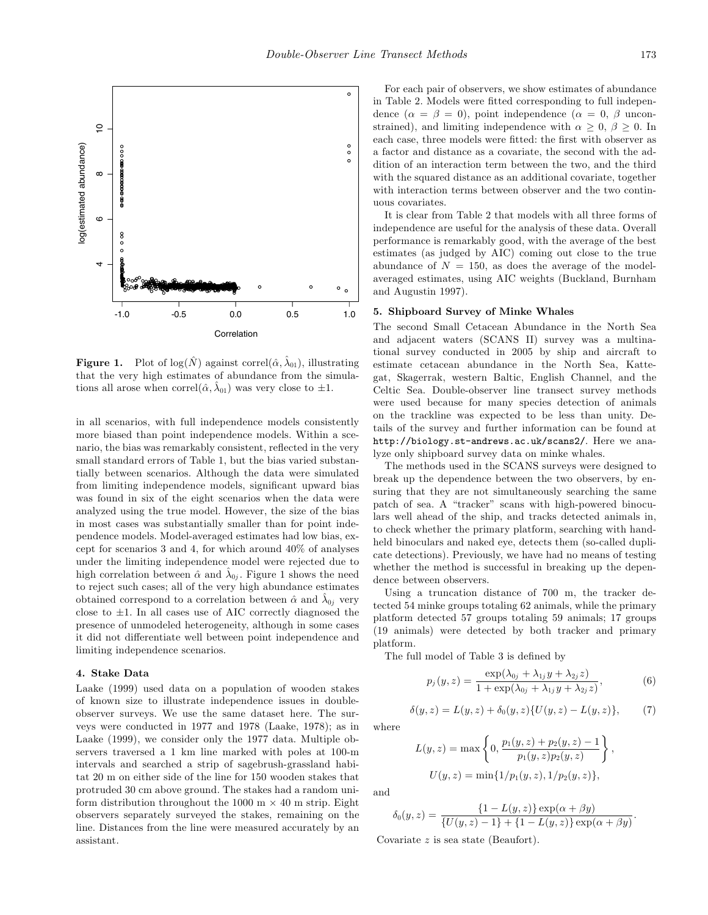

**Figure 1.** Plot of  $log(\hat{N})$  against correl( $\hat{\alpha}$ ,  $\hat{\lambda}_{01}$ ), illustrating that the very high estimates of abundance from the simulations all arose when correl $(\hat{\alpha}, \hat{\lambda}_{01})$  was very close to  $\pm 1$ .

in all scenarios, with full independence models consistently more biased than point independence models. Within a scenario, the bias was remarkably consistent, reflected in the very small standard errors of Table 1, but the bias varied substantially between scenarios. Although the data were simulated from limiting independence models, significant upward bias was found in six of the eight scenarios when the data were analyzed using the true model. However, the size of the bias in most cases was substantially smaller than for point independence models. Model-averaged estimates had low bias, except for scenarios 3 and 4, for which around 40% of analyses under the limiting independence model were rejected due to high correlation between  $\hat{\alpha}$  and  $\hat{\lambda}_{0j}$ . Figure 1 shows the need to reject such cases; all of the very high abundance estimates obtained correspond to a correlation between  $\hat{\alpha}$  and  $\hat{\lambda}_{0i}$  very close to  $\pm 1$ . In all cases use of AIC correctly diagnosed the presence of unmodeled heterogeneity, although in some cases it did not differentiate well between point independence and limiting independence scenarios.

#### **4. Stake Data**

Laake (1999) used data on a population of wooden stakes of known size to illustrate independence issues in doubleobserver surveys. We use the same dataset here. The surveys were conducted in 1977 and 1978 (Laake, 1978); as in Laake (1999), we consider only the 1977 data. Multiple observers traversed a 1 km line marked with poles at 100-m intervals and searched a strip of sagebrush-grassland habitat 20 m on either side of the line for 150 wooden stakes that protruded 30 cm above ground. The stakes had a random uniform distribution throughout the 1000 m  $\times$  40 m strip. Eight observers separately surveyed the stakes, remaining on the line. Distances from the line were measured accurately by an assistant.

For each pair of observers, we show estimates of abundance in Table 2. Models were fitted corresponding to full independence  $(\alpha = \beta = 0)$ , point independence  $(\alpha = 0, \beta \text{ uncon-})$ strained), and limiting independence with  $\alpha \geq 0$ ,  $\beta \geq 0$ . In each case, three models were fitted: the first with observer as a factor and distance as a covariate, the second with the addition of an interaction term between the two, and the third with the squared distance as an additional covariate, together with interaction terms between observer and the two continuous covariates.

It is clear from Table 2 that models with all three forms of independence are useful for the analysis of these data. Overall performance is remarkably good, with the average of the best estimates (as judged by AIC) coming out close to the true abundance of  $N = 150$ , as does the average of the modelaveraged estimates, using AIC weights (Buckland, Burnham and Augustin 1997).

#### **5. Shipboard Survey of Minke Whales**

The second Small Cetacean Abundance in the North Sea and adjacent waters (SCANS II) survey was a multinational survey conducted in 2005 by ship and aircraft to estimate cetacean abundance in the North Sea, Kattegat, Skagerrak, western Baltic, English Channel, and the Celtic Sea. Double-observer line transect survey methods were used because for many species detection of animals on the trackline was expected to be less than unity. Details of the survey and further information can be found at http://biology.st-andrews.ac.uk/scans2/. Here we analyze only shipboard survey data on minke whales.

The methods used in the SCANS surveys were designed to break up the dependence between the two observers, by ensuring that they are not simultaneously searching the same patch of sea. A "tracker" scans with high-powered binoculars well ahead of the ship, and tracks detected animals in, to check whether the primary platform, searching with handheld binoculars and naked eye, detects them (so-called duplicate detections). Previously, we have had no means of testing whether the method is successful in breaking up the dependence between observers.

Using a truncation distance of 700 m, the tracker detected 54 minke groups totaling 62 animals, while the primary platform detected 57 groups totaling 59 animals; 17 groups (19 animals) were detected by both tracker and primary platform.

The full model of Table 3 is defined by

$$
p_j(y, z) = \frac{\exp(\lambda_{0j} + \lambda_{1j}y + \lambda_{2j}z)}{1 + \exp(\lambda_{0j} + \lambda_{1j}y + \lambda_{2j}z)},
$$
(6)

$$
\delta(y, z) = L(y, z) + \delta_0(y, z) \{ U(y, z) - L(y, z) \},\tag{7}
$$

.

$$
L(y, z) = \max \left\{ 0, \frac{p_1(y, z) + p_2(y, z) - 1}{p_1(y, z)p_2(y, z)} \right\},
$$
  

$$
U(y, z) = \min \{ 1/p_1(y, z), 1/p_2(y, z) \},
$$

and

where

$$
\delta_0(y, z) = \frac{\{1 - L(y, z)\} \exp(\alpha + \beta y)}{\{U(y, z) - 1\} + \{1 - L(y, z)\} \exp(\alpha + \beta y)}
$$

Covariate z is sea state (Beaufort).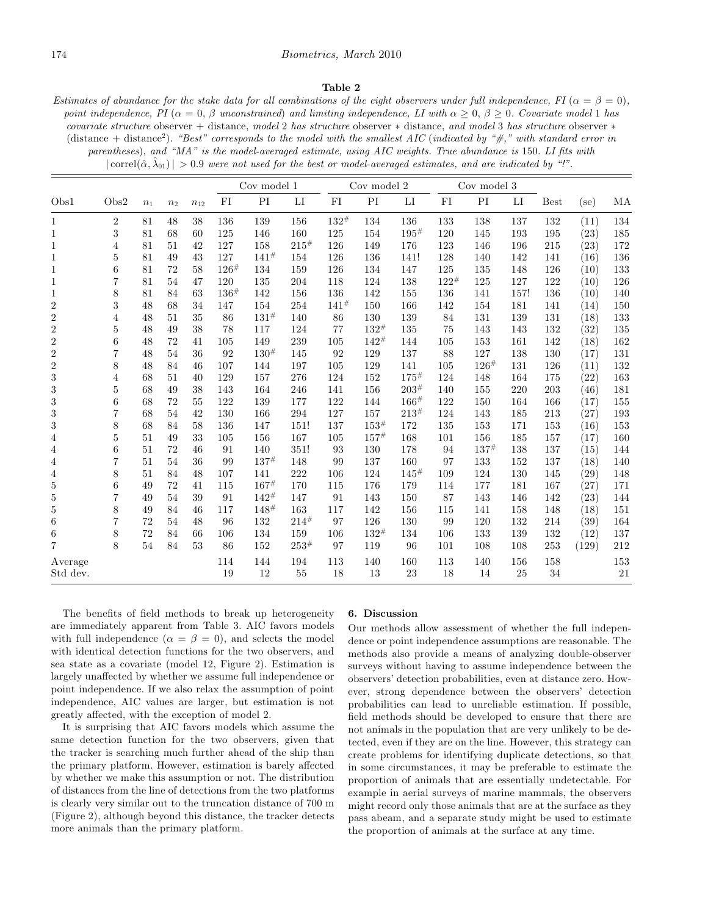#### **Table 2**

Estimates of abundance for the stake data for all combinations of the eight observers under full independence,  $FI (\alpha = \beta = 0)$ , point independence, PI ( $\alpha = 0$ ,  $\beta$  unconstrained) and limiting independence, LI with  $\alpha \geq 0$ ,  $\beta \geq 0$ . Covariate model 1 has covariate structure observer + distance, model 2 has structure observer ∗ distance, and model 3 has structure observer ∗ (distance + distance<sup>2</sup>). "Best" corresponds to the model with the smallest AIC (indicated by "#," with standard error in parentheses), and "MA" is the model-averaged estimate, using AIC weights. True abundance is 150. LI fits with  $|\text{correl}(\hat{\alpha}, \hat{\lambda}_{01})| > 0.9$  were not used for the best or model-averaged estimates, and are indicated by "!".

|                     |                |                |       |          | Cov model 1 |            |             | Cov model 2 |           | Cov model 3 |            |                          |             |             |       |           |
|---------------------|----------------|----------------|-------|----------|-------------|------------|-------------|-------------|-----------|-------------|------------|--------------------------|-------------|-------------|-------|-----------|
| Obs1                | Obs2           | n <sub>1</sub> | $n_2$ | $n_{12}$ | FI          | PI         | $_{\rm LI}$ | ${\rm FI}$  | PI        | $_{\rm LI}$ | ${\rm FI}$ | $\mathcal{P}\mathcal{I}$ | $_{\rm LI}$ | <b>Best</b> | (se)  | MA        |
| 1                   | $\overline{2}$ | 81             | 48    | 38       | 136         | 139        | 156         | $132^{\#}$  | 134       | 136         | 133        | 138                      | 137         | 132         | (11)  | 134       |
| 1                   | 3              | 81             | 68    | 60       | 125         | 146        | 160         | 125         | 154       | 195#        | 120        | 145                      | 193         | 195         | (23)  | 185       |
| 1                   | 4              | 81             | 51    | 42       | 127         | 158        | 215#        | 126         | 149       | 176         | 123        | 146                      | 196         | 215         | (23)  | 172       |
| $\mathbf{1}$        | 5              | 81             | 49    | 43       | 127         | 141#       | 154         | 126         | 136       | 141!        | 128        | 140                      | 142         | 141         | (16)  | 136       |
| $\mathbf{1}$        | 6              | 81             | 72    | 58       | 126#        | 134        | 159         | 126         | 134       | 147         | 125        | 135                      | 148         | 126         | (10)  | 133       |
| 1                   | $\overline{7}$ | 81             | 54    | 47       | 120         | 135        | 204         | 118         | 124       | 138         | $122^{#}$  | 125                      | 127         | 122         | (10)  | 126       |
| $\mathbf{1}$        | 8              | 81             | 84    | 63       | 136#        | 142        | 156         | 136         | 142       | 155         | 136        | 141                      | 157!        | 136         | (10)  | 140       |
| $\overline{2}$      | 3              | 48             | 68    | 34       | 147         | 154        | 254         | 141#        | 150       | 166         | 142        | 154                      | 181         | 141         | (14)  | 150       |
| $\overline{2}$      | 4              | 48             | 51    | 35       | 86          | $131^{#}$  | 140         | 86          | 130       | 139         | 84         | 131                      | 139         | 131         | (18)  | 133       |
| $\overline{2}$      | 5              | 48             | 49    | 38       | 78          | 117        | 124         | 77          | $132^{#}$ | 135         | 75         | 143                      | 143         | 132         | (32)  | 135       |
| $\overline{2}$      | 6              | 48             | 72    | 41       | 105         | 149        | 239         | 105         | 142#      | 144         | 105        | 153                      | 161         | 142         | (18)  | 162       |
| $\sqrt{2}$          | $\overline{7}$ | 48             | 54    | 36       | 92          | $130^{#}$  | 145         | 92          | 129       | 137         | 88         | 127                      | 138         | 130         | (17)  | 131       |
| $\sqrt{2}$          | 8              | 48             | 84    | 46       | 107         | 144        | 197         | 105         | 129       | 141         | 105        | 126#                     | 131         | 126         | (11)  | 132       |
| $\sqrt{3}$          | 4              | 68             | 51    | 40       | 129         | 157        | 276         | 124         | 152       | 175#        | 124        | 148                      | 164         | 175         | (22)  | 163       |
| $\boldsymbol{3}$    | 5              | 68             | 49    | 38       | 143         | 164        | 246         | 141         | 156       | 203#        | 140        | 155                      | 220         | 203         | (46)  | 181       |
| 3                   | 6              | 68             | 72    | 55       | 122         | 139        | 177         | 122         | 144       | 166#        | 122        | 150                      | 164         | 166         | (17)  | 155       |
| 3                   | $\overline{7}$ | 68             | 54    | 42       | 130         | 166        | 294         | 127         | 157       | 213#        | 124        | 143                      | 185         | 213         | (27)  | 193       |
| 3                   | 8              | 68             | 84    | 58       | 136         | 147        | 151!        | 137         | 153#      | 172         | 135        | 153                      | 171         | 153         | (16)  | 153       |
| $\overline{4}$      | 5              | 51             | 49    | 33       | 105         | 156        | 167         | 105         | 157#      | 168         | 101        | 156                      | 185         | 157         | (17)  | 160       |
| $\overline{4}$      | 6              | 51             | 72    | 46       | 91          | 140        | 351!        | 93          | 130       | 178         | 94         | 137#                     | 138         | 137         | (15)  | 144       |
| 4                   | $\overline{7}$ | 51             | 54    | 36       | 99          | 137#       | 148         | 99          | 137       | 160         | 97         | 133                      | 152         | 137         | (18)  | 140       |
| 4                   | 8              | 51             | 84    | 48       | 107         | 141        | 222         | 106         | 124       | 145#        | 109        | 124                      | 130         | 145         | (29)  | 148       |
| $\mathbf 5$         | 6              | 49             | 72    | 41       | 115         | 167#       | 170         | 115         | 176       | 179         | 114        | 177                      | 181         | 167         | (27)  | 171       |
| $\overline{5}$      | $\overline{7}$ | 49             | 54    | 39       | 91          | $142^{\#}$ | 147         | 91          | 143       | 150         | 87         | 143                      | 146         | 142         | (23)  | 144       |
| $\bf 5$             | 8              | 49             | 84    | 46       | 117         | 148#       | 163         | 117         | 142       | 156         | 115        | 141                      | 158         | 148         | (18)  | 151       |
| 6                   | $\overline{7}$ | 72             | 54    | 48       | 96          | 132        | 214#        | 97          | 126       | 130         | 99         | 120                      | 132         | 214         | (39)  | 164       |
| 6                   | 8              | 72             | 84    | 66       | 106         | 134        | 159         | 106         | $132^{#}$ | 134         | 106        | 133                      | 139         | 132         | (12)  | 137       |
| $\overline{7}$      | 8              | 54             | 84    | 53       | 86          | 152        | 253#        | 97          | 119       | 96          | 101        | 108                      | 108         | 253         | (129) | 212       |
| Average<br>Std dev. |                |                |       |          | 114<br>19   | 144<br>12  | 194<br>55   | 113<br>18   | 140<br>13 | 160<br>23   | 113<br>18  | 140<br>14                | 156<br>25   | 158<br>34   |       | 153<br>21 |

The benefits of field methods to break up heterogeneity are immediately apparent from Table 3. AIC favors models with full independence  $(\alpha = \beta = 0)$ , and selects the model with identical detection functions for the two observers, and sea state as a covariate (model 12, Figure 2). Estimation is largely unaffected by whether we assume full independence or point independence. If we also relax the assumption of point independence, AIC values are larger, but estimation is not greatly affected, with the exception of model 2.

It is surprising that AIC favors models which assume the same detection function for the two observers, given that the tracker is searching much further ahead of the ship than the primary platform. However, estimation is barely affected by whether we make this assumption or not. The distribution of distances from the line of detections from the two platforms is clearly very similar out to the truncation distance of 700 m (Figure 2), although beyond this distance, the tracker detects more animals than the primary platform.

#### **6. Discussion**

Our methods allow assessment of whether the full independence or point independence assumptions are reasonable. The methods also provide a means of analyzing double-observer surveys without having to assume independence between the observers' detection probabilities, even at distance zero. However, strong dependence between the observers' detection probabilities can lead to unreliable estimation. If possible, field methods should be developed to ensure that there are not animals in the population that are very unlikely to be detected, even if they are on the line. However, this strategy can create problems for identifying duplicate detections, so that in some circumstances, it may be preferable to estimate the proportion of animals that are essentially undetectable. For example in aerial surveys of marine mammals, the observers might record only those animals that are at the surface as they pass abeam, and a separate study might be used to estimate the proportion of animals at the surface at any time.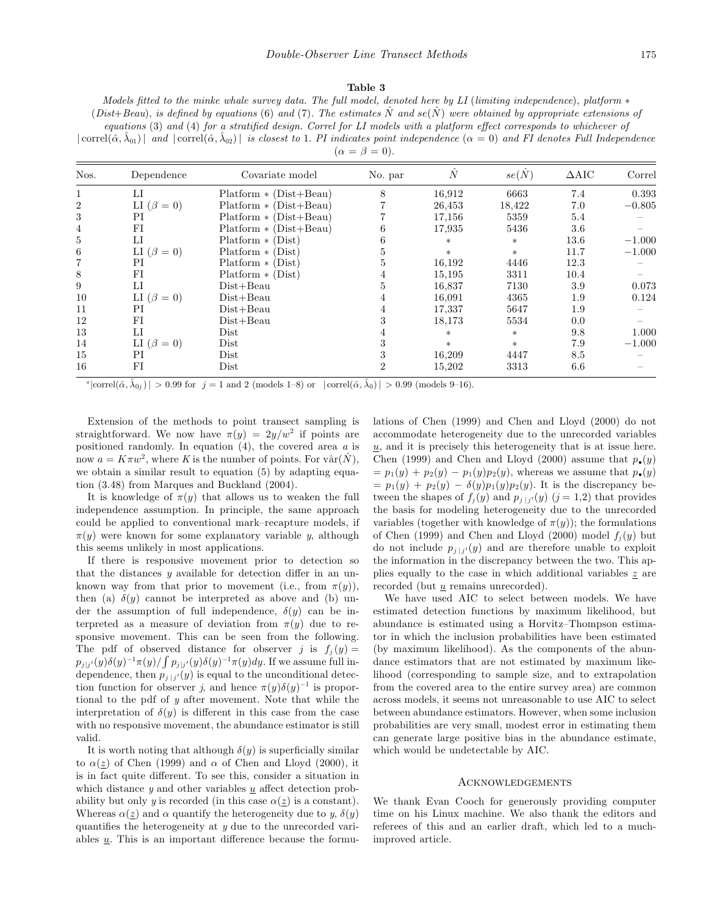#### **Table 3**

Models fitted to the minke whale survey data. The full model, denoted here by LI (limiting independence), platform  $*$  $(Dist+Beau)$ , is defined by equations (6) and (7). The estimates  $\hat{N}$  and se( $\hat{N}$ ) were obtained by appropriate extensions of equations (3) and (4) for a stratified design. Correl for LI models with a platform effect corresponds to whichever of  $|\text{correl}(\hat{\alpha}, \lambda_{01})|$  and  $|\text{correl}(\hat{\alpha}, \lambda_{02})|$  is closest to 1. PI indicates point independence  $(\alpha = 0)$  and FI denotes Full Independence  $(\alpha = \beta = 0).$ 

| Nos.           | Dependence       | Covariate model          | No. par | $\hat{N}$ | se(N)  | $\Delta AIC$ | Correl   |
|----------------|------------------|--------------------------|---------|-----------|--------|--------------|----------|
|                | Ы                | $Platform * (Dist+Bean)$ | 8       | 16,912    | 6663   | 7.4          | 0.393    |
| $\overline{2}$ | LI $(\beta = 0)$ | $Platform * (Dist+Bean)$ |         | 26,453    | 18,422 | 7.0          | $-0.805$ |
| 3              | РI               | $Platform * (Dist+Bean)$ |         | 17,156    | 5359   | 5.4          |          |
| 4              | FI               | $Platform * (Dist+Bean)$ |         | 17,935    | 5436   | 3.6          |          |
| 5              | Ы                | $Platform * (Dist)$      |         | $\ast$    | $\ast$ | 13.6         | $-1.000$ |
| 6              | LI $(\beta = 0)$ | $Platform * (Dist)$      |         | $\ast$    | $\ast$ | 11.7         | $-1.000$ |
|                | РI               | $Platform * (Dist)$      |         | 16,192    | 4446   | 12.3         |          |
| 8              | FI               | $Platform * (Dist)$      |         | 15,195    | 3311   | 10.4         |          |
| 9              | Ы                | $Dist+Bean$              |         | 16,837    | 7130   | 3.9          | 0.073    |
| 10             | LI $(\beta = 0)$ | $Dist+Bean$              |         | 16,091    | 4365   | $1.9\,$      | 0.124    |
| 11             | PI               | $Dist+Bean$              |         | 17,337    | 5647   | 1.9          |          |
| 12             | FI               | $Dist+Bean$              |         | 18,173    | 5534   | 0.0          |          |
| 13             | LI               | $_{\rm Dist}$            |         | $\ast$    | $\ast$ | 9.8          | 1.000    |
| 14             | LI $(\beta = 0)$ | Dist                     |         | $\ast$    | $\ast$ | 7.9          | $-1.000$ |
| 15             | ΡI               | Dist                     |         | 16,209    | 4447   | 8.5          |          |
| 16             | FI               | Dist                     | 2       | 15,202    | 3313   | 6.6          |          |

\*|correl( $\hat{\alpha}$ ,  $\hat{\lambda}_{0j}$ )| > 0.99 for j = 1 and 2 (models 1–8) or |correl( $\hat{\alpha}$ ,  $\hat{\lambda}_{0}$ )| > 0.99 (models 9–16).

Extension of the methods to point transect sampling is straightforward. We now have  $\pi(y)=2y/w^2$  if points are positioned randomly. In equation (4), the covered area a is now  $a = K\pi w^2$ , where K is the number of points. For vâr $(N)$ , we obtain a similar result to equation (5) by adapting equation (3.48) from Marques and Buckland (2004).

It is knowledge of  $\pi(y)$  that allows us to weaken the full independence assumption. In principle, the same approach could be applied to conventional mark–recapture models, if  $\pi(y)$  were known for some explanatory variable y, although this seems unlikely in most applications.

If there is responsive movement prior to detection so that the distances  $y$  available for detection differ in an unknown way from that prior to movement (i.e., from  $\pi(y)$ ), then (a)  $\delta(y)$  cannot be interpreted as above and (b) under the assumption of full independence,  $\delta(y)$  can be interpreted as a measure of deviation from  $\pi(y)$  due to responsive movement. This can be seen from the following. The pdf of observed distance for observer j is  $f_j(y) =$  $p_{j|j'}(y)\delta(y)^{-1}\pi(y)/\int p_{j|j'}(y)\delta(y)^{-1}\pi(y)dy.$  If we assume full independence, then  $p_{j+i'}(y)$  is equal to the unconditional detection function for observer j, and hence  $\pi(y)\delta(y)^{-1}$  is proportional to the pdf of y after movement. Note that while the interpretation of  $\delta(y)$  is different in this case from the case with no responsive movement, the abundance estimator is still valid.

It is worth noting that although  $\delta(y)$  is superficially similar to  $\alpha(\underline{z})$  of Chen (1999) and  $\alpha$  of Chen and Lloyd (2000), it is in fact quite different. To see this, consider a situation in which distance  $y$  and other variables  $\underline{u}$  affect detection probability but only y is recorded (in this case  $\alpha(\underline{z})$  is a constant). Whereas  $\alpha(\underline{z})$  and  $\alpha$  quantify the heterogeneity due to y,  $\delta(y)$ quantifies the heterogeneity at y due to the unrecorded variables  $u$ . This is an important difference because the formulations of Chen (1999) and Chen and Lloyd (2000) do not accommodate heterogeneity due to the unrecorded variables  $\underline{u}$ , and it is precisely this heterogeneity that is at issue here. Chen (1999) and Chen and Lloyd (2000) assume that  $p_{\bullet}(y)$  $= p_1(y) + p_2(y) - p_1(y)p_2(y)$ , whereas we assume that  $p_{\bullet}(y)$  $= p_1(y) + p_2(y) - \delta(y)p_1(y)p_2(y)$ . It is the discrepancy between the shapes of  $f_j(y)$  and  $p_{j}|_j(y)$   $(j = 1,2)$  that provides the basis for modeling heterogeneity due to the unrecorded variables (together with knowledge of  $\pi(y)$ ); the formulations of Chen (1999) and Chen and Lloyd (2000) model  $f_j(y)$  but do not include  $p_{i+j}(y)$  and are therefore unable to exploit the information in the discrepancy between the two. This applies equally to the case in which additional variables z are recorded (but  $u$  remains unrecorded).</u>

We have used AIC to select between models. We have estimated detection functions by maximum likelihood, but abundance is estimated using a Horvitz–Thompson estimator in which the inclusion probabilities have been estimated (by maximum likelihood). As the components of the abundance estimators that are not estimated by maximum likelihood (corresponding to sample size, and to extrapolation from the covered area to the entire survey area) are common across models, it seems not unreasonable to use AIC to select between abundance estimators. However, when some inclusion probabilities are very small, modest error in estimating them can generate large positive bias in the abundance estimate, which would be undetectable by AIC.

#### **ACKNOWLEDGEMENTS**

We thank Evan Cooch for generously providing computer time on his Linux machine. We also thank the editors and referees of this and an earlier draft, which led to a muchimproved article.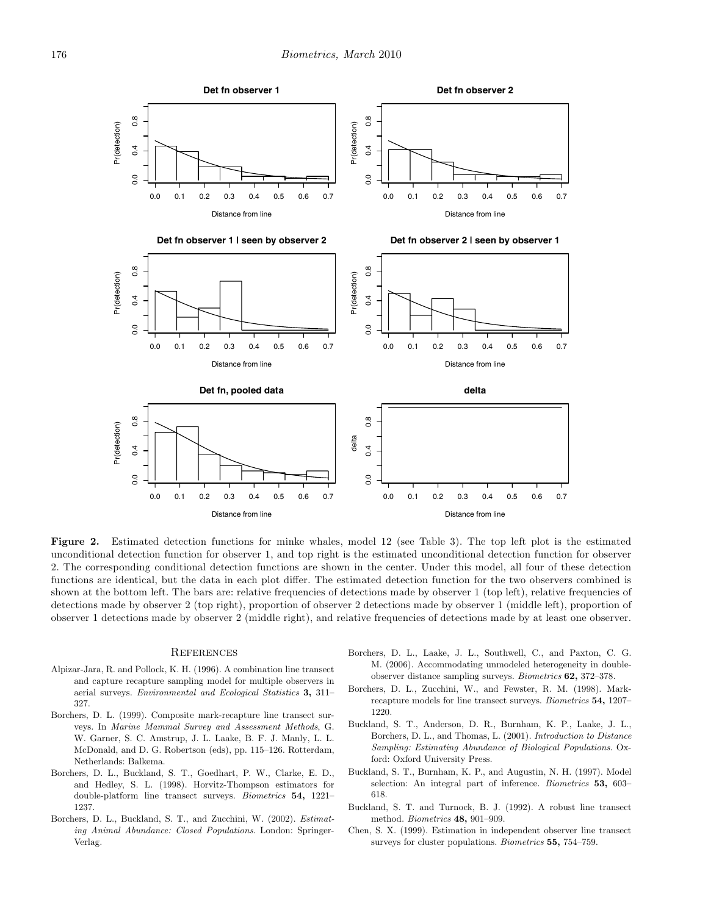

**Figure 2.** Estimated detection functions for minke whales, model 12 (see Table 3). The top left plot is the estimated unconditional detection function for observer 1, and top right is the estimated unconditional detection function for observer 2. The corresponding conditional detection functions are shown in the center. Under this model, all four of these detection functions are identical, but the data in each plot differ. The estimated detection function for the two observers combined is shown at the bottom left. The bars are: relative frequencies of detections made by observer 1 (top left), relative frequencies of detections made by observer 2 (top right), proportion of observer 2 detections made by observer 1 (middle left), proportion of observer 1 detections made by observer 2 (middle right), and relative frequencies of detections made by at least one observer.

#### **REFERENCES**

- Alpizar-Jara, R. and Pollock, K. H. (1996). A combination line transect and capture recapture sampling model for multiple observers in aerial surveys. Environmental and Ecological Statistics **3,** 311– 327.
- Borchers, D. L. (1999). Composite mark-recapture line transect surveys. In Marine Mammal Survey and Assessment Methods, G. W. Garner, S. C. Amstrup, J. L. Laake, B. F. J. Manly, L. L. McDonald, and D. G. Robertson (eds), pp. 115–126. Rotterdam, Netherlands: Balkema.
- Borchers, D. L., Buckland, S. T., Goedhart, P. W., Clarke, E. D., and Hedley, S. L. (1998). Horvitz-Thompson estimators for double-platform line transect surveys. Biometrics **54,** 1221– 1237.
- Borchers, D. L., Buckland, S. T., and Zucchini, W. (2002). Estimating Animal Abundance: Closed Populations. London: Springer-Verlag.
- Borchers, D. L., Laake, J. L., Southwell, C., and Paxton, C. G. M. (2006). Accommodating unmodeled heterogeneity in doubleobserver distance sampling surveys. Biometrics **62,** 372–378.
- Borchers, D. L., Zucchini, W., and Fewster, R. M. (1998). Markrecapture models for line transect surveys. Biometrics **54,** 1207– 1220.
- Buckland, S. T., Anderson, D. R., Burnham, K. P., Laake, J. L., Borchers, D. L., and Thomas, L. (2001). Introduction to Distance Sampling: Estimating Abundance of Biological Populations. Oxford: Oxford University Press.
- Buckland, S. T., Burnham, K. P., and Augustin, N. H. (1997). Model selection: An integral part of inference. Biometrics **53,** 603– 618.
- Buckland, S. T. and Turnock, B. J. (1992). A robust line transect method. Biometrics **48,** 901–909.
- Chen, S. X. (1999). Estimation in independent observer line transect surveys for cluster populations. Biometrics **55,** 754–759.